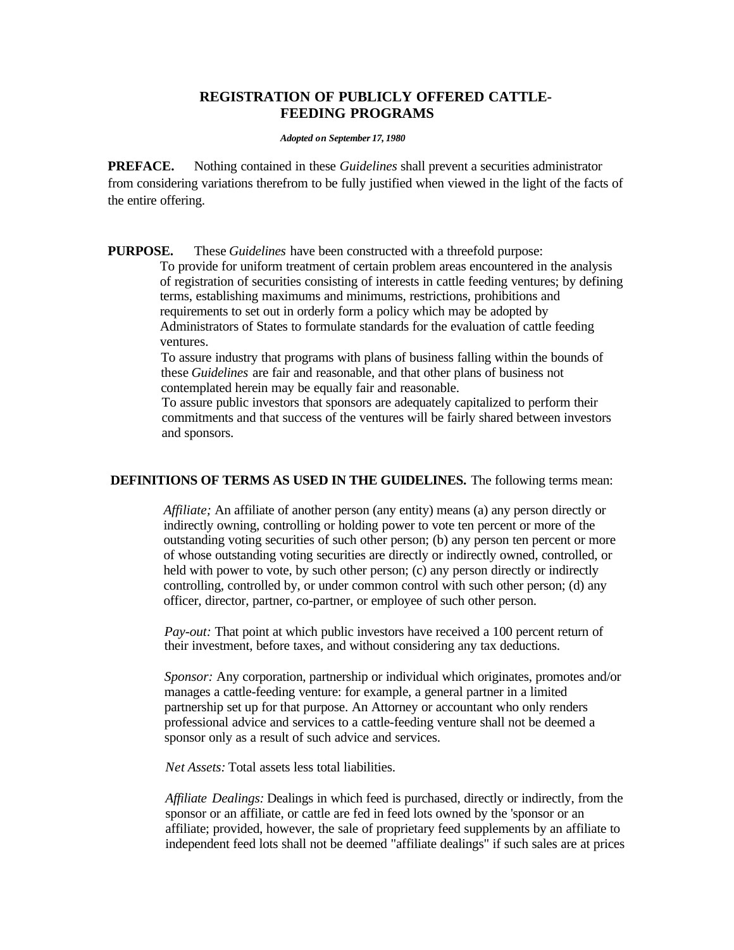### **REGISTRATION OF PUBLICLY OFFERED CATTLE-FEEDING PROGRAMS**

*Adopted on September 17, 1980*

**PREFACE.** Nothing contained in these *Guidelines* shall prevent a securities administrator from considering variations therefrom to be fully justified when viewed in the light of the facts of the entire offering.

**PURPOSE.** These *Guidelines* have been constructed with a threefold purpose:

To provide for uniform treatment of certain problem areas encountered in the analysis of registration of securities consisting of interests in cattle feeding ventures; by defining terms, establishing maximums and minimums, restrictions, prohibitions and requirements to set out in orderly form a policy which may be adopted by Administrators of States to formulate standards for the evaluation of cattle feeding ventures.

To assure industry that programs with plans of business falling within the bounds of these *Guidelines* are fair and reasonable, and that other plans of business not contemplated herein may be equally fair and reasonable.

To assure public investors that sponsors are adequately capitalized to perform their commitments and that success of the ventures will be fairly shared between investors and sponsors.

#### **DEFINITIONS OF TERMS AS USED IN THE GUIDELINES.** The following terms mean:

*Affiliate;* An affiliate of another person (any entity) means (a) any person directly or indirectly owning, controlling or holding power to vote ten percent or more of the outstanding voting securities of such other person; (b) any person ten percent or more of whose outstanding voting securities are directly or indirectly owned, controlled, or held with power to vote, by such other person; (c) any person directly or indirectly controlling, controlled by, or under common control with such other person; (d) any officer, director, partner, co-partner, or employee of such other person.

*Pay-out:* That point at which public investors have received a 100 percent return of their investment, before taxes, and without considering any tax deductions.

*Sponsor:* Any corporation, partnership or individual which originates, promotes and/or manages a cattle-feeding venture: for example, a general partner in a limited partnership set up for that purpose. An Attorney or accountant who only renders professional advice and services to a cattle-feeding venture shall not be deemed a sponsor only as a result of such advice and services.

*Net Assets:* Total assets less total liabilities.

*Affiliate Dealings:* Dealings in which feed is purchased, directly or indirectly, from the sponsor or an affiliate, or cattle are fed in feed lots owned by the 'sponsor or an affiliate; provided, however, the sale of proprietary feed supplements by an affiliate to independent feed lots shall not be deemed "affiliate dealings" if such sales are at prices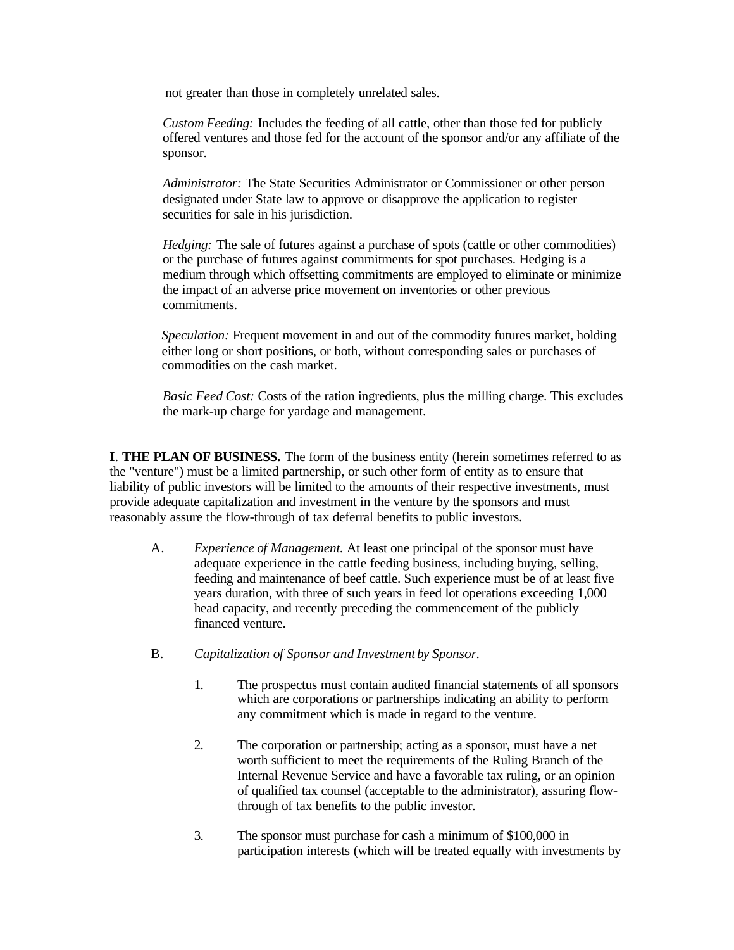not greater than those in completely unrelated sales.

*Custom Feeding:* Includes the feeding of all cattle, other than those fed for publicly offered ventures and those fed for the account of the sponsor and/or any affiliate of the sponsor.

*Administrator:* The State Securities Administrator or Commissioner or other person designated under State law to approve or disapprove the application to register securities for sale in his jurisdiction.

*Hedging:* The sale of futures against a purchase of spots (cattle or other commodities) or the purchase of futures against commitments for spot purchases. Hedging is a medium through which offsetting commitments are employed to eliminate or minimize the impact of an adverse price movement on inventories or other previous commitments.

*Speculation:* Frequent movement in and out of the commodity futures market, holding either long or short positions, or both, without corresponding sales or purchases of commodities on the cash market.

*Basic Feed Cost:* Costs of the ration ingredients, plus the milling charge. This excludes the mark-up charge for yardage and management.

**I**. **THE PLAN OF BUSINESS.** The form of the business entity (herein sometimes referred to as the "venture") must be a limited partnership, or such other form of entity as to ensure that liability of public investors will be limited to the amounts of their respective investments, must provide adequate capitalization and investment in the venture by the sponsors and must reasonably assure the flow-through of tax deferral benefits to public investors.

- A. *Experience of Management.* At least one principal of the sponsor must have adequate experience in the cattle feeding business, including buying, selling, feeding and maintenance of beef cattle. Such experience must be of at least five years duration, with three of such years in feed lot operations exceeding 1,000 head capacity, and recently preceding the commencement of the publicly financed venture.
- B. *Capitalization of Sponsor and Investment by Sponsor.*
	- 1. The prospectus must contain audited financial statements of all sponsors which are corporations or partnerships indicating an ability to perform any commitment which is made in regard to the venture.
	- 2. The corporation or partnership; acting as a sponsor, must have a net worth sufficient to meet the requirements of the Ruling Branch of the Internal Revenue Service and have a favorable tax ruling, or an opinion of qualified tax counsel (acceptable to the administrator), assuring flowthrough of tax benefits to the public investor.
	- 3. The sponsor must purchase for cash a minimum of \$100,000 in participation interests (which will be treated equally with investments by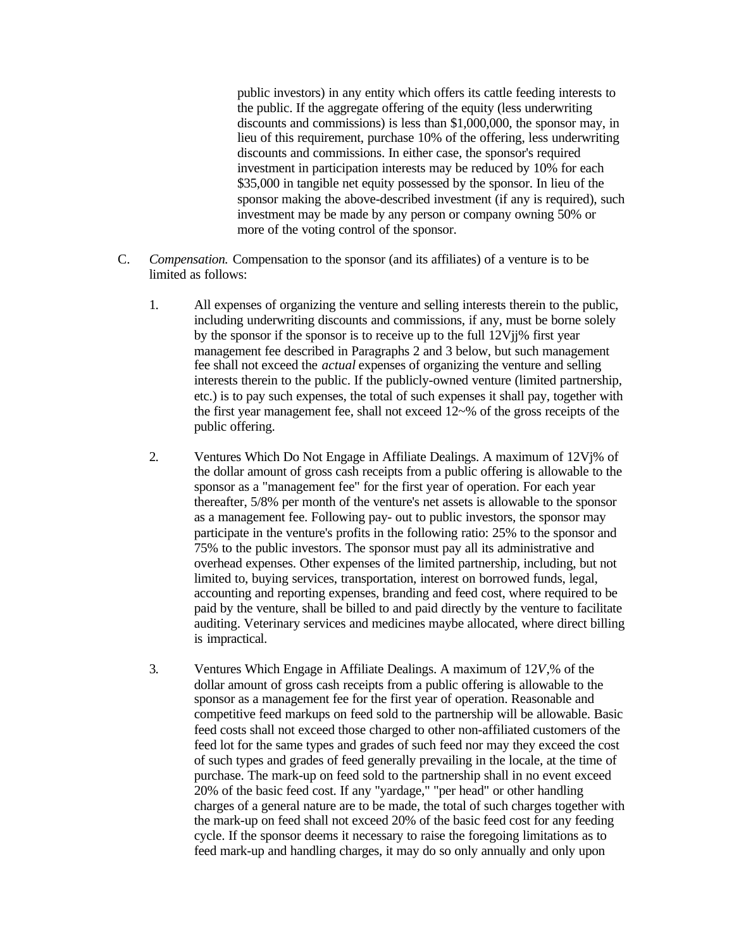public investors) in any entity which offers its cattle feeding interests to the public. If the aggregate offering of the equity (less underwriting discounts and commissions) is less than \$1,000,000, the sponsor may, in lieu of this requirement, purchase 10% of the offering, less underwriting discounts and commissions. In either case, the sponsor's required investment in participation interests may be reduced by 10% for each \$35,000 in tangible net equity possessed by the sponsor. In lieu of the sponsor making the above-described investment (if any is required), such investment may be made by any person or company owning 50% or more of the voting control of the sponsor.

- C. *Compensation.* Compensation to the sponsor (and its affiliates) of a venture is to be limited as follows:
	- 1. All expenses of organizing the venture and selling interests therein to the public, including underwriting discounts and commissions, if any, must be borne solely by the sponsor if the sponsor is to receive up to the full 12Vjj% first year management fee described in Paragraphs 2 and 3 below, but such management fee shall not exceed the *actual* expenses of organizing the venture and selling interests therein to the public. If the publicly-owned venture (limited partnership, etc.) is to pay such expenses, the total of such expenses it shall pay, together with the first year management fee, shall not exceed 12~% of the gross receipts of the public offering.
	- 2. Ventures Which Do Not Engage in Affiliate Dealings. A maximum of 12Vj% of the dollar amount of gross cash receipts from a public offering is allowable to the sponsor as a "management fee" for the first year of operation. For each year thereafter, 5/8% per month of the venture's net assets is allowable to the sponsor as a management fee. Following pay- out to public investors, the sponsor may participate in the venture's profits in the following ratio: 25% to the sponsor and 75% to the public investors. The sponsor must pay all its administrative and overhead expenses. Other expenses of the limited partnership, including, but not limited to, buying services, transportation, interest on borrowed funds, legal, accounting and reporting expenses, branding and feed cost, where required to be paid by the venture, shall be billed to and paid directly by the venture to facilitate auditing. Veterinary services and medicines maybe allocated, where direct billing is impractical.
	- 3. Ventures Which Engage in Affiliate Dealings. A maximum of 12*V*,% of the dollar amount of gross cash receipts from a public offering is allowable to the sponsor as a management fee for the first year of operation. Reasonable and competitive feed markups on feed sold to the partnership will be allowable. Basic feed costs shall not exceed those charged to other non-affiliated customers of the feed lot for the same types and grades of such feed nor may they exceed the cost of such types and grades of feed generally prevailing in the locale, at the time of purchase. The mark-up on feed sold to the partnership shall in no event exceed 20% of the basic feed cost. If any "yardage," "per head" or other handling charges of a general nature are to be made, the total of such charges together with the mark-up on feed shall not exceed 20% of the basic feed cost for any feeding cycle. If the sponsor deems it necessary to raise the foregoing limitations as to feed mark-up and handling charges, it may do so only annually and only upon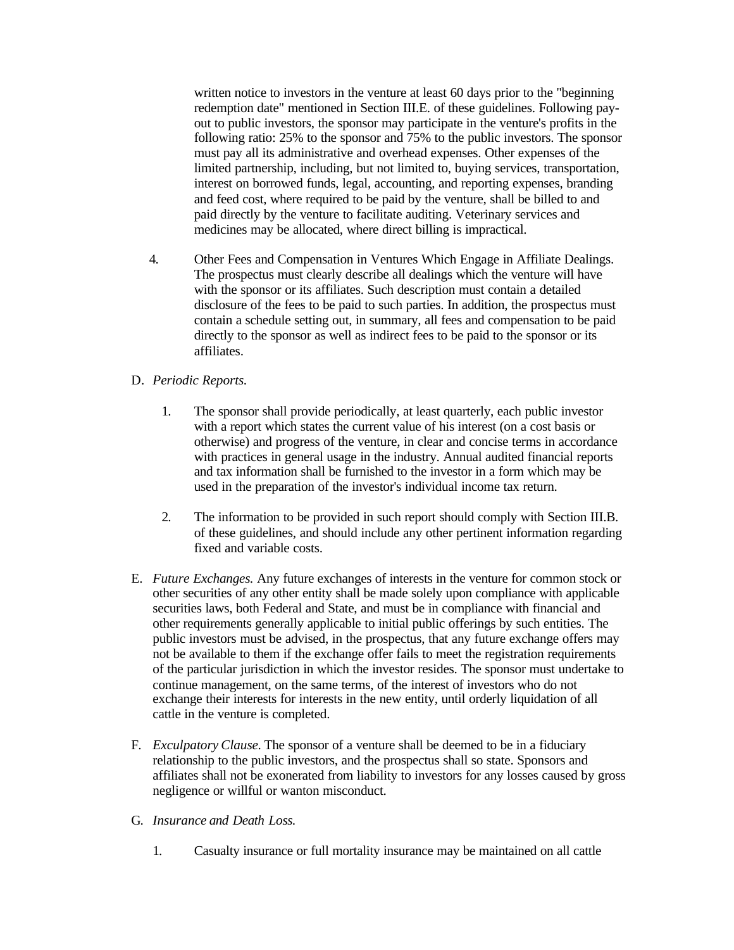written notice to investors in the venture at least 60 days prior to the "beginning redemption date" mentioned in Section III.E. of these guidelines. Following payout to public investors, the sponsor may participate in the venture's profits in the following ratio: 25% to the sponsor and 75% to the public investors. The sponsor must pay all its administrative and overhead expenses. Other expenses of the limited partnership, including, but not limited to, buying services, transportation, interest on borrowed funds, legal, accounting, and reporting expenses, branding and feed cost, where required to be paid by the venture, shall be billed to and paid directly by the venture to facilitate auditing. Veterinary services and medicines may be allocated, where direct billing is impractical.

4. Other Fees and Compensation in Ventures Which Engage in Affiliate Dealings. The prospectus must clearly describe all dealings which the venture will have with the sponsor or its affiliates. Such description must contain a detailed disclosure of the fees to be paid to such parties. In addition, the prospectus must contain a schedule setting out, in summary, all fees and compensation to be paid directly to the sponsor as well as indirect fees to be paid to the sponsor or its affiliates.

### D. *Periodic Reports.*

- 1. The sponsor shall provide periodically, at least quarterly, each public investor with a report which states the current value of his interest (on a cost basis or otherwise) and progress of the venture, in clear and concise terms in accordance with practices in general usage in the industry. Annual audited financial reports and tax information shall be furnished to the investor in a form which may be used in the preparation of the investor's individual income tax return.
- 2. The information to be provided in such report should comply with Section III.B. of these guidelines, and should include any other pertinent information regarding fixed and variable costs.
- E. *Future Exchanges.* Any future exchanges of interests in the venture for common stock or other securities of any other entity shall be made solely upon compliance with applicable securities laws, both Federal and State, and must be in compliance with financial and other requirements generally applicable to initial public offerings by such entities. The public investors must be advised, in the prospectus, that any future exchange offers may not be available to them if the exchange offer fails to meet the registration requirements of the particular jurisdiction in which the investor resides. The sponsor must undertake to continue management, on the same terms, of the interest of investors who do not exchange their interests for interests in the new entity, until orderly liquidation of all cattle in the venture is completed.
- F. *Exculpatory Clause.* The sponsor of a venture shall be deemed to be in a fiduciary relationship to the public investors, and the prospectus shall so state. Sponsors and affiliates shall not be exonerated from liability to investors for any losses caused by gross negligence or willful or wanton misconduct.
- G. *Insurance and Death Loss.*
	- 1. Casualty insurance or full mortality insurance may be maintained on all cattle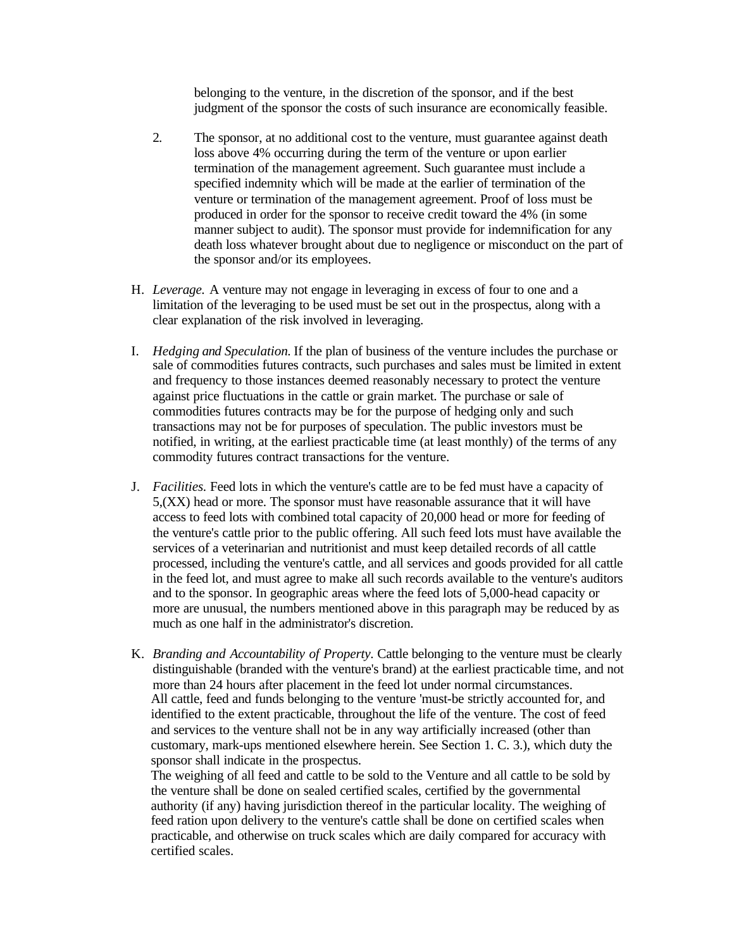belonging to the venture, in the discretion of the sponsor, and if the best judgment of the sponsor the costs of such insurance are economically feasible.

- 2. The sponsor, at no additional cost to the venture, must guarantee against death loss above 4% occurring during the term of the venture or upon earlier termination of the management agreement. Such guarantee must include a specified indemnity which will be made at the earlier of termination of the venture or termination of the management agreement. Proof of loss must be produced in order for the sponsor to receive credit toward the 4% (in some manner subject to audit). The sponsor must provide for indemnification for any death loss whatever brought about due to negligence or misconduct on the part of the sponsor and/or its employees.
- H. *Leverage.* A venture may not engage in leveraging in excess of four to one and a limitation of the leveraging to be used must be set out in the prospectus, along with a clear explanation of the risk involved in leveraging.
- I. *Hedging and Speculation.* If the plan of business of the venture includes the purchase or sale of commodities futures contracts, such purchases and sales must be limited in extent and frequency to those instances deemed reasonably necessary to protect the venture against price fluctuations in the cattle or grain market. The purchase or sale of commodities futures contracts may be for the purpose of hedging only and such transactions may not be for purposes of speculation. The public investors must be notified, in writing, at the earliest practicable time (at least monthly) of the terms of any commodity futures contract transactions for the venture.
- J. *Facilities.* Feed lots in which the venture's cattle are to be fed must have a capacity of 5,(XX) head or more. The sponsor must have reasonable assurance that it will have access to feed lots with combined total capacity of 20,000 head or more for feeding of the venture's cattle prior to the public offering. All such feed lots must have available the services of a veterinarian and nutritionist and must keep detailed records of all cattle processed, including the venture's cattle, and all services and goods provided for all cattle in the feed lot, and must agree to make all such records available to the venture's auditors and to the sponsor. In geographic areas where the feed lots of 5,000-head capacity or more are unusual, the numbers mentioned above in this paragraph may be reduced by as much as one half in the administrator's discretion.
- K. *Branding and Accountability of Property.* Cattle belonging to the venture must be clearly distinguishable (branded with the venture's brand) at the earliest practicable time, and not more than 24 hours after placement in the feed lot under normal circumstances. All cattle, feed and funds belonging to the venture 'must-be strictly accounted for, and identified to the extent practicable, throughout the life of the venture. The cost of feed and services to the venture shall not be in any way artificially increased (other than customary, mark-ups mentioned elsewhere herein. See Section 1. C. 3.), which duty the sponsor shall indicate in the prospectus.

The weighing of all feed and cattle to be sold to the Venture and all cattle to be sold by the venture shall be done on sealed certified scales, certified by the governmental authority (if any) having jurisdiction thereof in the particular locality. The weighing of feed ration upon delivery to the venture's cattle shall be done on certified scales when practicable, and otherwise on truck scales which are daily compared for accuracy with certified scales.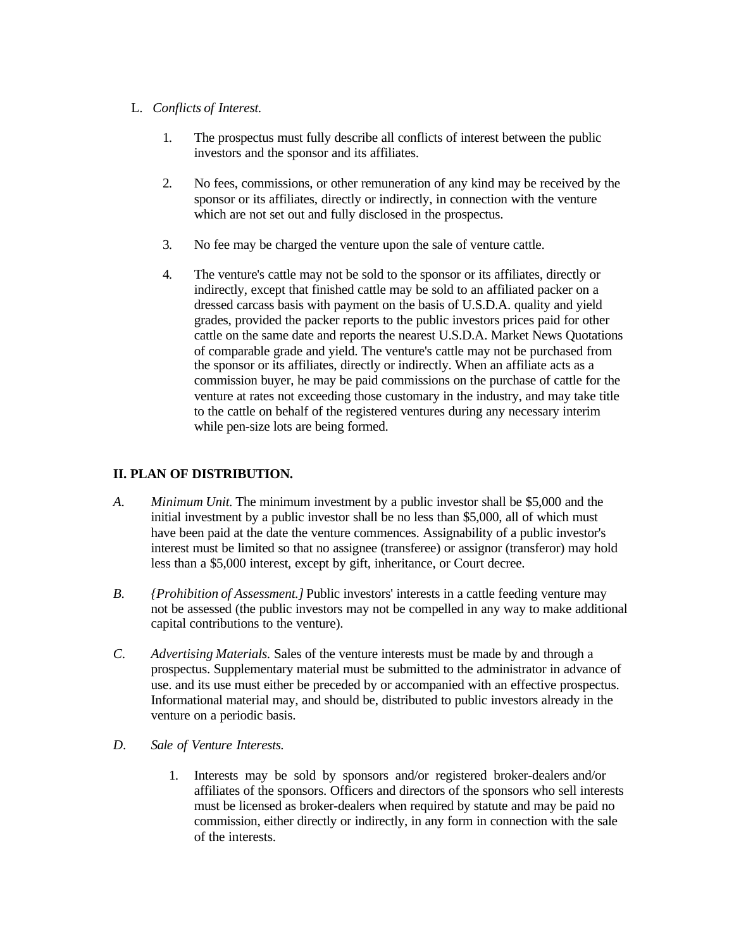- L. *Conflicts of Interest.*
	- 1. The prospectus must fully describe all conflicts of interest between the public investors and the sponsor and its affiliates.
	- 2. No fees, commissions, or other remuneration of any kind may be received by the sponsor or its affiliates, directly or indirectly, in connection with the venture which are not set out and fully disclosed in the prospectus.
	- 3. No fee may be charged the venture upon the sale of venture cattle.
	- 4. The venture's cattle may not be sold to the sponsor or its affiliates, directly or indirectly, except that finished cattle may be sold to an affiliated packer on a dressed carcass basis with payment on the basis of U.S.D.A. quality and yield grades, provided the packer reports to the public investors prices paid for other cattle on the same date and reports the nearest U.S.D.A. Market News Quotations of comparable grade and yield. The venture's cattle may not be purchased from the sponsor or its affiliates, directly or indirectly. When an affiliate acts as a commission buyer, he may be paid commissions on the purchase of cattle for the venture at rates not exceeding those customary in the industry, and may take title to the cattle on behalf of the registered ventures during any necessary interim while pen-size lots are being formed.

# **II. PLAN OF DISTRIBUTION.**

- *A. Minimum Unit.* The minimum investment by a public investor shall be \$5,000 and the initial investment by a public investor shall be no less than \$5,000, all of which must have been paid at the date the venture commences. Assignability of a public investor's interest must be limited so that no assignee (transferee) or assignor (transferor) may hold less than a \$5,000 interest, except by gift, inheritance, or Court decree.
- *B. {Prohibition of Assessment.]* Public investors' interests in a cattle feeding venture may not be assessed (the public investors may not be compelled in any way to make additional capital contributions to the venture).
- *C. Advertising Materials.* Sales of the venture interests must be made by and through a prospectus. Supplementary material must be submitted to the administrator in advance of use. and its use must either be preceded by or accompanied with an effective prospectus. Informational material may, and should be, distributed to public investors already in the venture on a periodic basis.
- *D. Sale of Venture Interests.*
	- 1. Interests may be sold by sponsors and/or registered broker-dealers and/or affiliates of the sponsors. Officers and directors of the sponsors who sell interests must be licensed as broker-dealers when required by statute and may be paid no commission, either directly or indirectly, in any form in connection with the sale of the interests.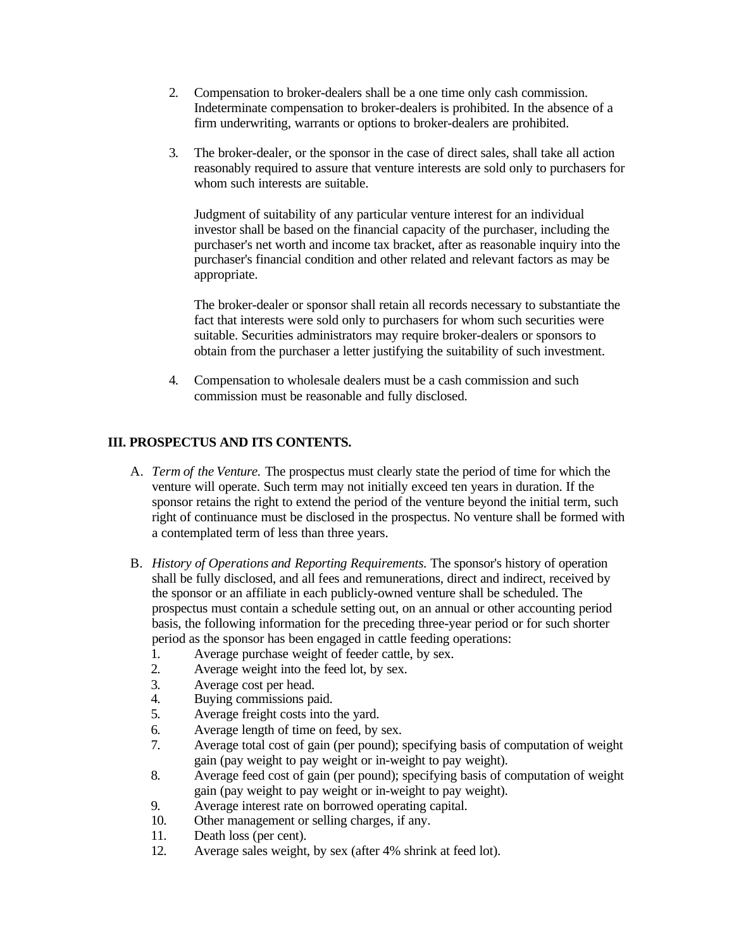- 2. Compensation to broker-dealers shall be a one time only cash commission. Indeterminate compensation to broker-dealers is prohibited. In the absence of a firm underwriting, warrants or options to broker-dealers are prohibited.
- 3. The broker-dealer, or the sponsor in the case of direct sales, shall take all action reasonably required to assure that venture interests are sold only to purchasers for whom such interests are suitable.

Judgment of suitability of any particular venture interest for an individual investor shall be based on the financial capacity of the purchaser, including the purchaser's net worth and income tax bracket, after as reasonable inquiry into the purchaser's financial condition and other related and relevant factors as may be appropriate.

The broker-dealer or sponsor shall retain all records necessary to substantiate the fact that interests were sold only to purchasers for whom such securities were suitable. Securities administrators may require broker-dealers or sponsors to obtain from the purchaser a letter justifying the suitability of such investment.

4. Compensation to wholesale dealers must be a cash commission and such commission must be reasonable and fully disclosed.

## **III. PROSPECTUS AND ITS CONTENTS.**

- A. *Term of the Venture.* The prospectus must clearly state the period of time for which the venture will operate. Such term may not initially exceed ten years in duration. If the sponsor retains the right to extend the period of the venture beyond the initial term, such right of continuance must be disclosed in the prospectus. No venture shall be formed with a contemplated term of less than three years.
- B. *History of Operations and Reporting Requirements.* The sponsor's history of operation shall be fully disclosed, and all fees and remunerations, direct and indirect, received by the sponsor or an affiliate in each publicly-owned venture shall be scheduled. The prospectus must contain a schedule setting out, on an annual or other accounting period basis, the following information for the preceding three-year period or for such shorter period as the sponsor has been engaged in cattle feeding operations:
	- 1. Average purchase weight of feeder cattle, by sex.
	- 2. Average weight into the feed lot, by sex.
	- 3. Average cost per head.<br>4. Buving commissions pa
	- 4. Buying commissions paid.
	- 5. Average freight costs into the yard.
	- 6. Average length of time on feed, by sex.
	- 7. Average total cost of gain (per pound); specifying basis of computation of weight gain (pay weight to pay weight or in-weight to pay weight).
	- 8. Average feed cost of gain (per pound); specifying basis of computation of weight gain (pay weight to pay weight or in-weight to pay weight).
	- 9. Average interest rate on borrowed operating capital.
	- 10. Other management or selling charges, if any.
	- 11. Death loss (per cent).
	- 12. Average sales weight, by sex (after 4% shrink at feed lot).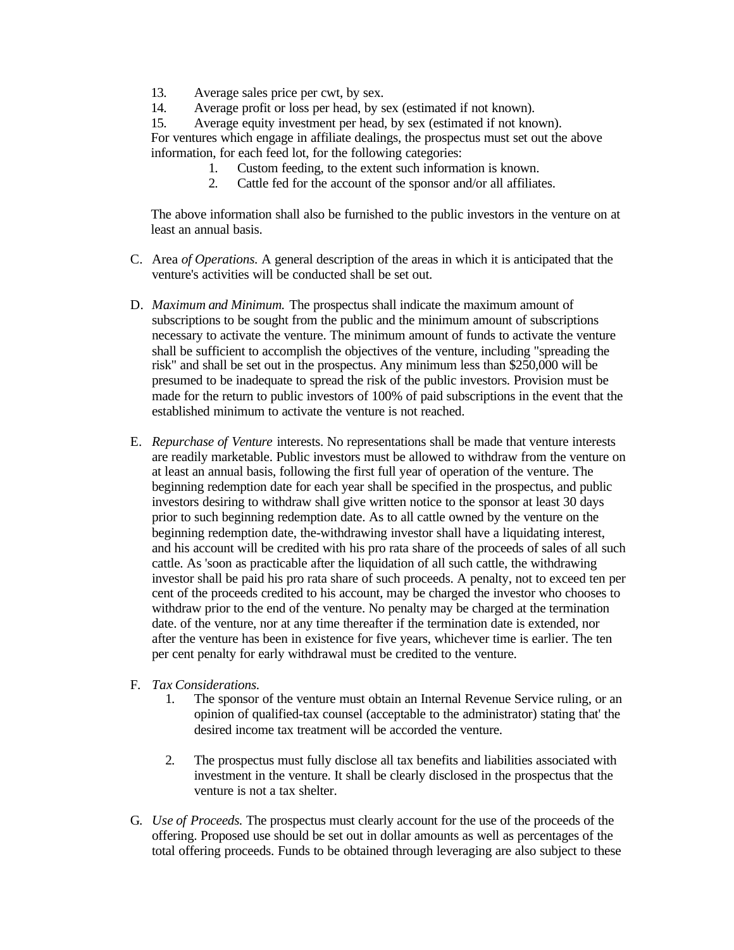- 13. Average sales price per cwt, by sex.
- 14. Average profit or loss per head, by sex (estimated if not known).

15. Average equity investment per head, by sex (estimated if not known).

For ventures which engage in affiliate dealings, the prospectus must set out the above information, for each feed lot, for the following categories:

- 1. Custom feeding, to the extent such information is known.
- 2. Cattle fed for the account of the sponsor and/or all affiliates.

The above information shall also be furnished to the public investors in the venture on at least an annual basis.

- C. Area *of Operations.* A general description of the areas in which it is anticipated that the venture's activities will be conducted shall be set out.
- D. *Maximum and Minimum.* The prospectus shall indicate the maximum amount of subscriptions to be sought from the public and the minimum amount of subscriptions necessary to activate the venture. The minimum amount of funds to activate the venture shall be sufficient to accomplish the objectives of the venture, including "spreading the risk" and shall be set out in the prospectus. Any minimum less than \$250,000 will be presumed to be inadequate to spread the risk of the public investors. Provision must be made for the return to public investors of 100% of paid subscriptions in the event that the established minimum to activate the venture is not reached.
- E. *Repurchase of Venture* interests. No representations shall be made that venture interests are readily marketable. Public investors must be allowed to withdraw from the venture on at least an annual basis, following the first full year of operation of the venture. The beginning redemption date for each year shall be specified in the prospectus, and public investors desiring to withdraw shall give written notice to the sponsor at least 30 days prior to such beginning redemption date. As to all cattle owned by the venture on the beginning redemption date, the-withdrawing investor shall have a liquidating interest, and his account will be credited with his pro rata share of the proceeds of sales of all such cattle. As 'soon as practicable after the liquidation of all such cattle, the withdrawing investor shall be paid his pro rata share of such proceeds. A penalty, not to exceed ten per cent of the proceeds credited to his account, may be charged the investor who chooses to withdraw prior to the end of the venture. No penalty may be charged at the termination date. of the venture, nor at any time thereafter if the termination date is extended, nor after the venture has been in existence for five years, whichever time is earlier. The ten per cent penalty for early withdrawal must be credited to the venture.
- F. *Tax Considerations.*
	- 1. The sponsor of the venture must obtain an Internal Revenue Service ruling, or an opinion of qualified-tax counsel (acceptable to the administrator) stating that' the desired income tax treatment will be accorded the venture.
	- 2. The prospectus must fully disclose all tax benefits and liabilities associated with investment in the venture. It shall be clearly disclosed in the prospectus that the venture is not a tax shelter.
- G. *Use of Proceeds.* The prospectus must clearly account for the use of the proceeds of the offering. Proposed use should be set out in dollar amounts as well as percentages of the total offering proceeds. Funds to be obtained through leveraging are also subject to these